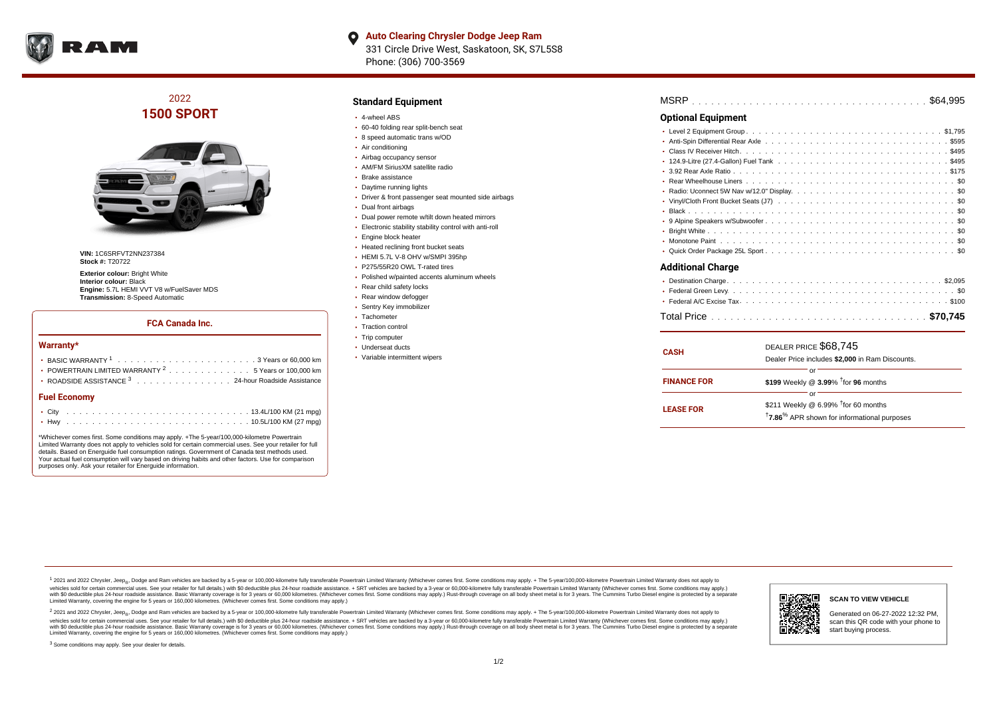

## 2022 **1500 SPORT**



**VIN:** 1C6SRFVT2NN237384 **Stock #:** T20722

**Exterior colour: Bright White Interior colour:** Black **Engine:** 5.7L HEMI VVT V8 w/FuelSaver MDS **Transmission:** 8-Speed Automatic

#### **FCA Canada Inc.**

#### **Warranty\***

| <b>Fuel Economy</b>                                                                              |  |  |  |  |  |  |
|--------------------------------------------------------------------------------------------------|--|--|--|--|--|--|
| ROADSIDE ASSISTANCE 3 24-hour Roadside Assistance                                                |  |  |  |  |  |  |
| • POWERTRAIN LIMITED WARRANTY $2, \ldots, \ldots, \ldots, \ldots, 5$ Years or 100,000 km         |  |  |  |  |  |  |
| BASIC WARRANTY $1, \ldots, \ldots, \ldots, \ldots, \ldots, \ldots, \ldots, 3$ Years or 60.000 km |  |  |  |  |  |  |
|                                                                                                  |  |  |  |  |  |  |

\*Whichever comes first. Some conditions may apply. +The 5-year/100,000-kilometre Powertrain Limited Warranty does not apply to vehicles sold for certain commercial uses. See your retailer for full details. Based on Energuide fuel consumption ratings. Government of Canada test methods used. Your actual fuel consumption will vary based on driving habits and other factors. Use for comparison purposes only. Ask your retailer for Energuide information.

#### **Standard Equipment**

- 4-wheel ABS
- 60-40 folding rear split-bench seat
- 8 speed automatic trans w/OD
- Air conditioning
- Airbag occupancy sensor
- AM/FM SiriusXM satellite radio
- Brake assistance
- Daytime running lights
- Driver & front passenger seat mounted side airbags
- Dual front airbags
- Dual power remote w/tilt down heated mirrors
- Electronic stability stability control with anti-roll
- Engine block heater
- Heated reclining front bucket seats
- HEMI 5.7L V-8 OHV w/SMPI 395hp
- P275/55R20 OWL T-rated tires
- Polished w/painted accents aluminum wheels
- Rear child safety locks
- Rear window defogger
- Sentry Key immobilizer
- Tachometer
- Traction control
- Trip computer
- Underseat ducts
- Variable intermittent wipers

| MSRP |  |  |  |  |  |  |  |  |  |  |  |  |  |  |  |  |  |  |  |  |  |  |  |  |  |  |  |  |  |  |  |  |  |  |  |  |  |  |
|------|--|--|--|--|--|--|--|--|--|--|--|--|--|--|--|--|--|--|--|--|--|--|--|--|--|--|--|--|--|--|--|--|--|--|--|--|--|--|
|------|--|--|--|--|--|--|--|--|--|--|--|--|--|--|--|--|--|--|--|--|--|--|--|--|--|--|--|--|--|--|--|--|--|--|--|--|--|--|

### **Optional Equipment**

| <b>Additional Charge</b> |
|--------------------------|

| <b>CASH</b>        | DEALER PRICE \$68.745<br>Dealer Price includes \$2,000 in Ram Discounts.                                                       |
|--------------------|--------------------------------------------------------------------------------------------------------------------------------|
| <b>FINANCE FOR</b> | Ωľ<br>\$199 Weekly @ 3.99% <sup>t</sup> for 96 months                                                                          |
| <b>LEASE FOR</b>   | റ്റ്<br>\$211 Weekly @ 6.99% <sup>1</sup> for 60 months<br><sup>†</sup> 7.86 <sup>%</sup> APR shown for informational purposes |

<sup>1</sup> 2021 and 2022 Chrysler, Jeep<sub>®</sub>, Dodge and Ram vehicles are backed by a 5-year or 100,000-kilometre fully transferable Powertrain Limited Warranty (Whichever comes first. Some conditions may apply. + The 5-year/100,000 vehicles sold for certain commercial uses. See your retailer for full details.) with \$0 deductible plus 24 hour roadside assistance. + SRT vehicles are backed by a 3-year or 60,000-kilometre fully transferable Powertrain L versus and contract the mean of the contract of the contract with a contract with a contract the contract of the contract of the contract the contract of the contract of the contract of the contract of the contract of the Limited Warranty, covering the engine for 5 years or 160,000 kilometres. (Whichever comes first. Some conditions may apply.)

2 2021 and 2022 Chrysler, Jeep<sub>®</sub>, Dodge and Ram vehicles are backed by a 5-year or 100,000-kilometre fully transferable Powertrain Limited Warranty (Whichever comes first. Some conditions may apply. + The 5-year/100,000-k vehicles sold for certain commercial uses. See your retailer for full details.) with SO deductible plus 24-hour roadside assistance. + SRT vehicles are backed by a 3-year or 60.000-kilometre fully transferable Powertrain. with S0 deductible plus 24-hour roadside assistance. Basic Warranty coverage is for 3 years or 60,000 kilometres. (Whichever comes first. Some conditions may apply.) Rust-through coverage on all body sheet metal is for 3 y

<sup>3</sup> Some conditions may apply. See your dealer for details.



Generated on 06-27-2022 12:32 PM, scan this QR code with your phone to start buying process.